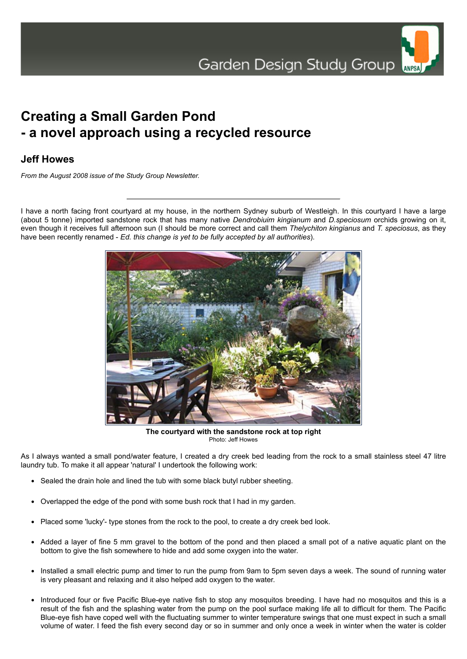

## **Creating a Small Garden Pond - a novel approach using a recycled resource**

## **Jeff Howes**

*From the August 2008 issue of the Study Group Newsletter.*

I have a north facing front courtyard at my house, in the northern Sydney suburb of Westleigh. In this courtyard I have a large (about 5 tonne) imported sandstone rock that has many native *Dendrobiuim kingianum* and *D.speciosum* orchids growing on it, even though it receives full afternoon sun (I should be more correct and call them *Thelychiton kingianus* and *T. speciosus*, as they have been recently renamed - *Ed. this change is yet to be fully accepted by all authorities*).



**The courtyard with the sandstone rock at top right** Photo: Jeff Howes

As I always wanted a small pond/water feature, I created a dry creek bed leading from the rock to a small stainless steel 47 litre laundry tub. To make it all appear 'natural' I undertook the following work:

- Sealed the drain hole and lined the tub with some black butyl rubber sheeting.
- Overlapped the edge of the pond with some bush rock that I had in my garden.
- Placed some 'lucky'- type stones from the rock to the pool, to create a dry creek bed look.
- Added a layer of fine 5 mm gravel to the bottom of the pond and then placed a small pot of a native aquatic plant on the bottom to give the fish somewhere to hide and add some oxygen into the water.
- Installed a small electric pump and timer to run the pump from 9am to 5pm seven days a week. The sound of running water is very pleasant and relaxing and it also helped add oxygen to the water.
- Introduced four or five Pacific Blue-eye native fish to stop any mosquitos breeding. I have had no mosquitos and this is a result of the fish and the splashing water from the pump on the pool surface making life all to difficult for them. The Pacific Blue-eye fish have coped well with the fluctuating summer to winter temperature swings that one must expect in such a small volume of water. I feed the fish every second day or so in summer and only once a week in winter when the water is colder